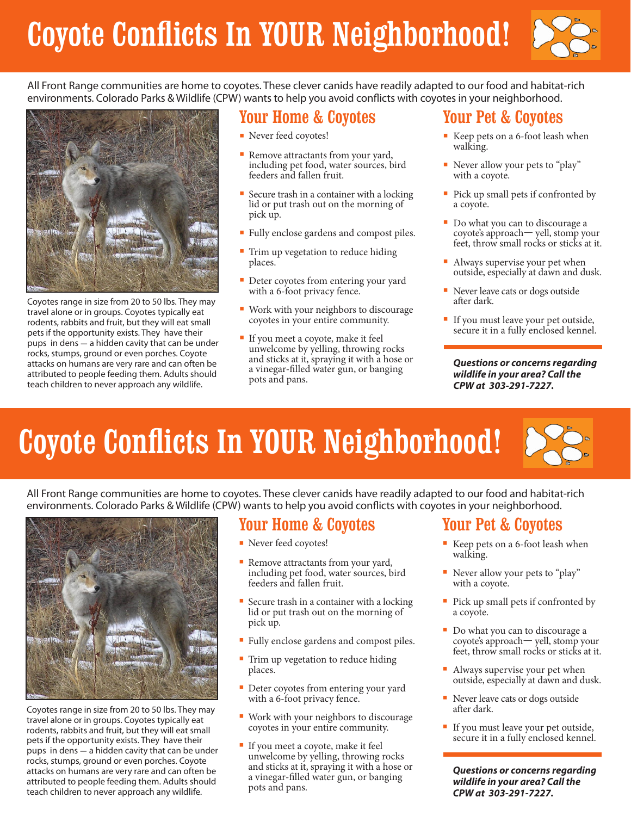# Coyote Conflicts In YOUR Neighborhood!



All Front Range communities are home to coyotes. These clever canids have readily adapted to our food and habitat-rich environments. Colorado Parks & Wildlife (CPW) wants to help you avoid conflicts with coyotes in your neighborhood.



Coyotes range in size from 20 to 50 lbs. They may travel alone or in groups. Coyotes typically eat rodents, rabbits and fruit, but they will eat small pets if the opportunity exists. They have their pups in dens  $-$  a hidden cavity that can be under rocks, stumps, ground or even porches. Coyote attacks on humans are very rare and can often be attributed to people feeding them. Adults should teach children to never approach any wildlife.

### Your Home & Coyotes

- Never feed coyotes!
- Remove attractants from your yard, including pet food, water sources, bird feeders and fallen fruit.
- **■** Secure trash in a container with a locking lid or put trash out on the morning of pick up.
- **■** Fully enclose gardens and compost piles.
- Trim up vegetation to reduce hiding places.
- Deter coyotes from entering your yard with a 6-foot privacy fence.
- Work with your neighbors to discourage coyotes in your entire community.
- **■** If you meet a coyote, make it feel unwelcome by yelling, throwing rocks and sticks at it, spraying it with a hose or a vinegar-filled water gun, or banging pots and pans.

## Your Pet & Coyotes

- **■** Keep pets on a 6-foot leash when walking.
- Never allow your pets to "play" with a coyote.
- Pick up small pets if confronted by a coyote.
- Do what you can to discourage a coyote's approach— yell, stomp your feet, throw small rocks or sticks at it.
- Always supervise your pet when<br>outside, especially at dawn and dusk.
- Never leave cats or dogs outside after dark.
- If you must leave your pet outside, secure it in a fully enclosed kennel.

*Questions or concerns regarding wildlife in your area? Call the CPW at 303-291-7227.*

# Coyote Conflicts In YOUR Neighborhood!

All Front Range communities are home to coyotes. These clever canids have readily adapted to our food and habitat-rich environments. Colorado Parks & Wildlife (CPW) wants to help you avoid conflicts with coyotes in your neighborhood.



Coyotes range in size from 20 to 50 lbs. They may travel alone or in groups. Coyotes typically eat rodents, rabbits and fruit, but they will eat small pets if the opportunity exists. They have their pups in dens - a hidden cavity that can be under rocks, stumps, ground or even porches. Coyote attacks on humans are very rare and can often be attributed to people feeding them. Adults should teach children to never approach any wildlife.

#### Your Home & Coyotes

- **■** Never feed coyotes!
- Remove attractants from your yard, including pet food, water sources, bird feeders and fallen fruit.
- Secure trash in a container with a locking lid or put trash out on the morning of pick up.
- **■** Fully enclose gardens and compost piles.
- Trim up vegetation to reduce hiding places.
- Deter coyotes from entering your yard with a 6-foot privacy fence.
- Work with your neighbors to discourage coyotes in your entire community.
- **■** If you meet a coyote, make it feel unwelcome by yelling, throwing rocks and sticks at it, spraying it with a hose or a vinegar-filled water gun, or banging pots and pans.

### Your Pet & Coyotes

- Keep pets on a 6-foot leash when walking.
- Never allow your pets to "play" with a coyote.
- Pick up small pets if confronted by a coyote.
- Do what you can to discourage a coyote's approach— yell, stomp your feet, throw small rocks or sticks at it.
- Always supervise your pet when outside, especially at dawn and dusk.
- Never leave cats or dogs outside after dark.
- If you must leave your pet outside, secure it in a fully enclosed kennel.

*Questions or concerns regarding wildlife in your area? Call the CPW at 303-291-7227.*